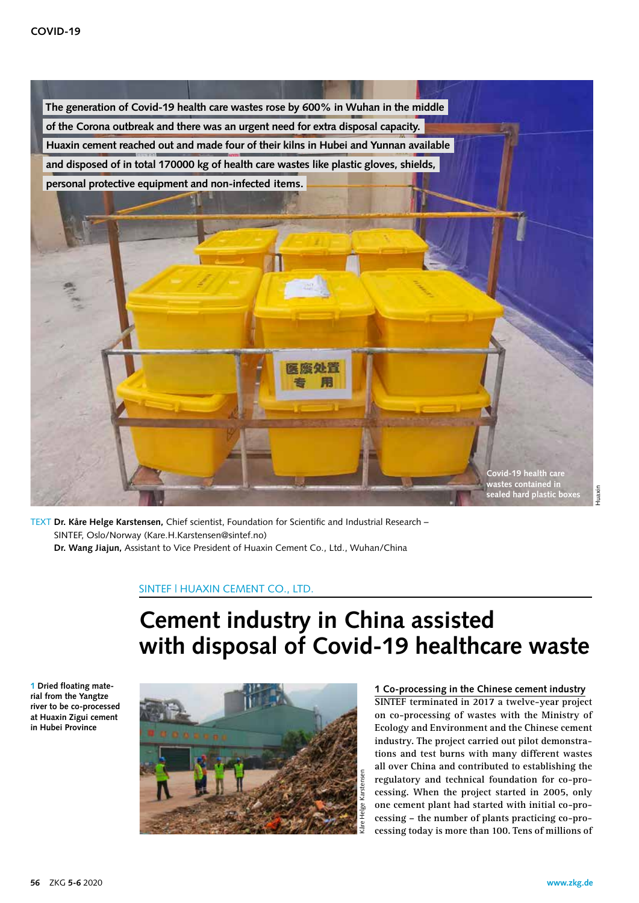

TEXT **Dr. Kåre Helge Karstensen,** Chief scientist, Foundation for Scientific and Industrial Research – SINTEF, Oslo/Norway (Kare.H.Karstensen@sintef.no)

 **Dr. Wang Jiajun,** Assistant to Vice President of Huaxin Cement Co., Ltd., Wuhan/China

## SINTEF | HUAXIN CEMENT CO., LTD.

# **Cement industry in China assisted with disposal of Covid-19 healthcare waste**

**1 Dried floating material from the Yangtze river to be co-processed at Huaxin Zigui cement in Hubei Province**



### **1 Co-processing in the Chinese cement industry**

**SINTEF terminated in 2017 a twelve-year project on co-processing of wastes with the Ministry of Ecology and Environment and the Chinese cement industry. The project carried out pilot demonstrations and test burns with many different wastes all over China and contributed to establishing the regulatory and technical foundation for co-processing. When the project started in 2005, only one cement plant had started with initial co-processing – the number of plants practicing co-processing today is more than 100. Tens of millions of**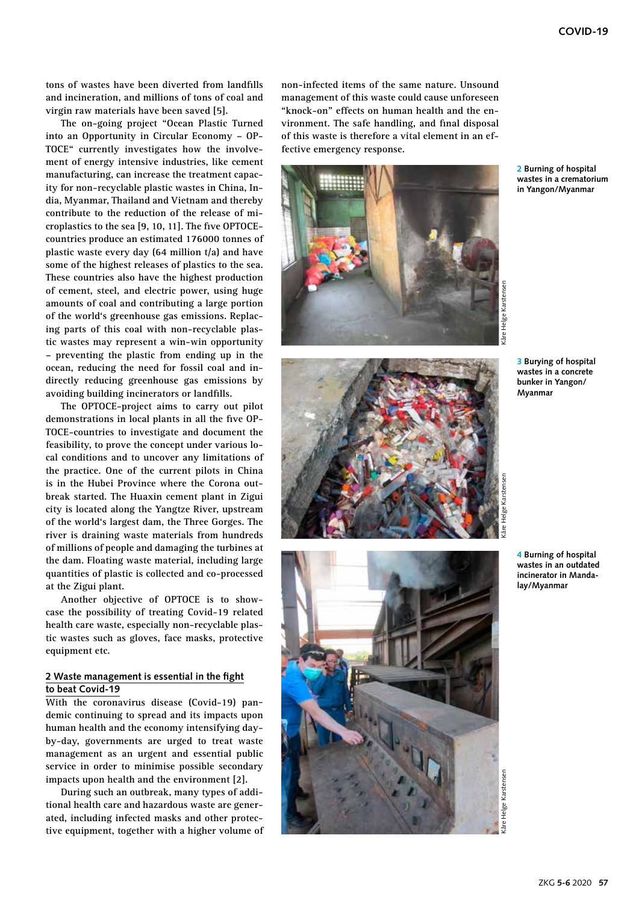**tons of wastes have been diverted from landfills and incineration, and millions of tons of coal and virgin raw materials have been saved [5].**

**The on-going project "Ocean Plastic Turned into an Opportunity in Circular Economy – OP-TOCE" currently investigates how the involvement of energy intensive industries, like cement manufacturing, can increase the treatment capacity for non-recyclable plastic wastes in China, India, Myanmar, Thailand and Vietnam and thereby contribute to the reduction of the release of microplastics to the sea [9, 10, 11]. The five OPTOCEcountries produce an estimated 176000 tonnes of plastic waste every day (64 million t/a) and have some of the highest releases of plastics to the sea. These countries also have the highest production of cement, steel, and electric power, using huge amounts of coal and contributing a large portion of the world's greenhouse gas emissions. Replacing parts of this coal with non-recyclable plastic wastes may represent a win-win opportunity – preventing the plastic from ending up in the ocean, reducing the need for fossil coal and indirectly reducing greenhouse gas emissions by avoiding building incinerators or landfills.**

**The OPTOCE-project aims to carry out pilot demonstrations in local plants in all the five OP-TOCE-countries to investigate and document the feasibility, to prove the concept under various local conditions and to uncover any limitations of the practice. One of the current pilots in China is in the Hubei Province where the Corona outbreak started. The Huaxin cement plant in Zigui city is located along the Yangtze River, upstream of the world's largest dam, the Three Gorges. The river is draining waste materials from hundreds of millions of people and damaging the turbines at the dam. Floating waste material, including large quantities of plastic is collected and co-processed at the Zigui plant.** 

**Another objective of OPTOCE is to showcase the possibility of treating Covid-19 related health care waste, especially non-recyclable plastic wastes such as gloves, face masks, protective equipment etc.** 

#### **2 Waste management is essential in the fight to beat Covid-19**

**With the coronavirus disease (Covid-19) pandemic continuing to spread and its impacts upon human health and the economy intensifying dayby-day, governments are urged to treat waste management as an urgent and essential public service in order to minimise possible secondary impacts upon health and the environment [2].**

**During such an outbreak, many types of additional health care and hazardous waste are generated, including infected masks and other protective equipment, together with a higher volume of**  **non-infected items of the same nature. Unsound management of this waste could cause unforeseen "knock-on" effects on human health and the environment. The safe handling, and final disposal of this waste is therefore a vital element in an effective emergency response.**



**2 Burning of hospital wastes in a crematorium in Yangon/Myanmar**



**3 Burying of hospital wastes in a concrete bunker in Yangon/ Myanmar**



**4 Burning of hospital wastes in an outdated incinerator in Mandalay/Myanmar**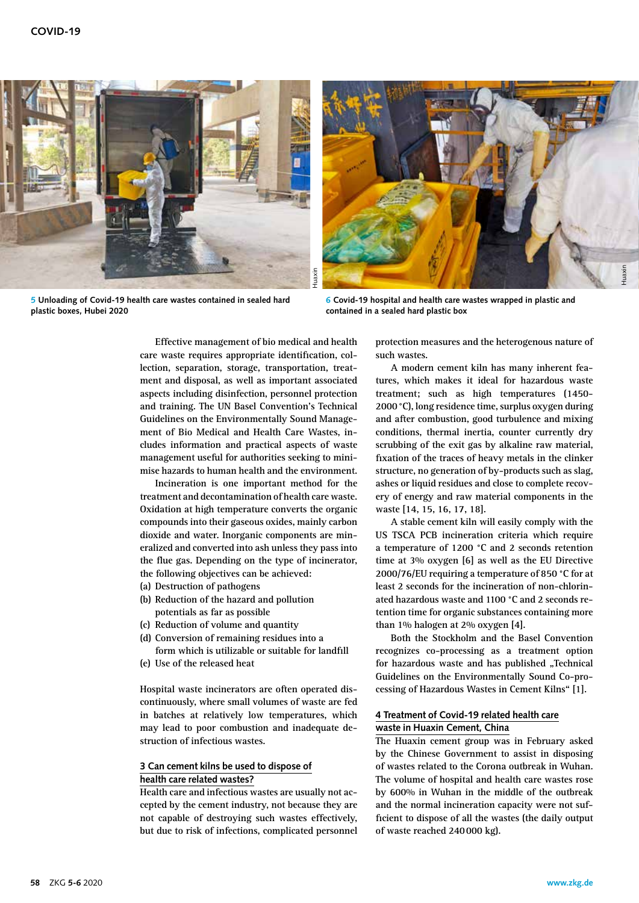

**5 Unloading of Covid-19 health care wastes contained in sealed hard plastic boxes, Hubei 2020**



**6 Covid-19 hospital and health care wastes wrapped in plastic and contained in a sealed hard plastic box**

**Effective management of bio medical and health care waste requires appropriate identification, collection, separation, storage, transportation, treatment and disposal, as well as important associated aspects including disinfection, personnel protection and training. The UN Basel Convention's Technical Guidelines on the Environmentally Sound Management of Bio Medical and Health Care Wastes, includes information and practical aspects of waste management useful for authorities seeking to minimise hazards to human health and the environment.**

**Incineration is one important method for the treatment and decontamination of health care waste. Oxidation at high temperature converts the organic compounds into their gaseous oxides, mainly carbon dioxide and water. Inorganic components are mineralized and converted into ash unless they pass into the flue gas. Depending on the type of incinerator, the following objectives can be achieved:**

- **(a) Destruction of pathogens**
- **(b) Reduction of the hazard and pollution potentials as far as possible**
- **(c) Reduction of volume and quantity**
- **(d) Conversion of remaining residues into a form which is utilizable or suitable for landfill**
- **(e) Use of the released heat**

**Hospital waste incinerators are often operated discontinuously, where small volumes of waste are fed in batches at relatively low temperatures, which may lead to poor combustion and inadequate destruction of infectious wastes.** 

#### **3 Can cement kilns be used to dispose of health care related wastes?**

**Health care and infectious wastes are usually not accepted by the cement industry, not because they are not capable of destroying such wastes effectively, but due to risk of infections, complicated personnel**  **protection measures and the heterogenous nature of such wastes.**

**A modern cement kiln has many inherent features, which makes it ideal for hazardous waste treatment; such as high temperatures (1450- 2000°C), long residence time, surplus oxygen during and after combustion, good turbulence and mixing conditions, thermal inertia, counter currently dry scrubbing of the exit gas by alkaline raw material, fixation of the traces of heavy metals in the clinker structure, no generation of by-products such as slag, ashes or liquid residues and close to complete recovery of energy and raw material components in the waste [14, 15, 16, 17, 18].**

**A stable cement kiln will easily comply with the US TSCA PCB incineration criteria which require a temperature of 1200 °C and 2 seconds retention time at 3% oxygen [6] as well as the EU Directive 2000/76/EU requiring a temperature of 850 °C for at least 2 seconds for the incineration of non-chlorinated hazardous waste and 1100 °C and 2 seconds retention time for organic substances containing more than 1% halogen at 2% oxygen [4].**

**Both the Stockholm and the Basel Convention recognizes co-processing as a treatment option**  for hazardous waste and has published "Technical **Guidelines on the Environmentally Sound Co-processing of Hazardous Wastes in Cement Kilns" [1].** 

#### **4 Treatment of Covid-19 related health care waste in Huaxin Cement, China**

**The Huaxin cement group was in February asked by the Chinese Government to assist in disposing of wastes related to the Corona outbreak in Wuhan. The volume of hospital and health care wastes rose by 600% in Wuhan in the middle of the outbreak and the normal incineration capacity were not sufficient to dispose of all the wastes (the daily output of waste reached 240000 kg).**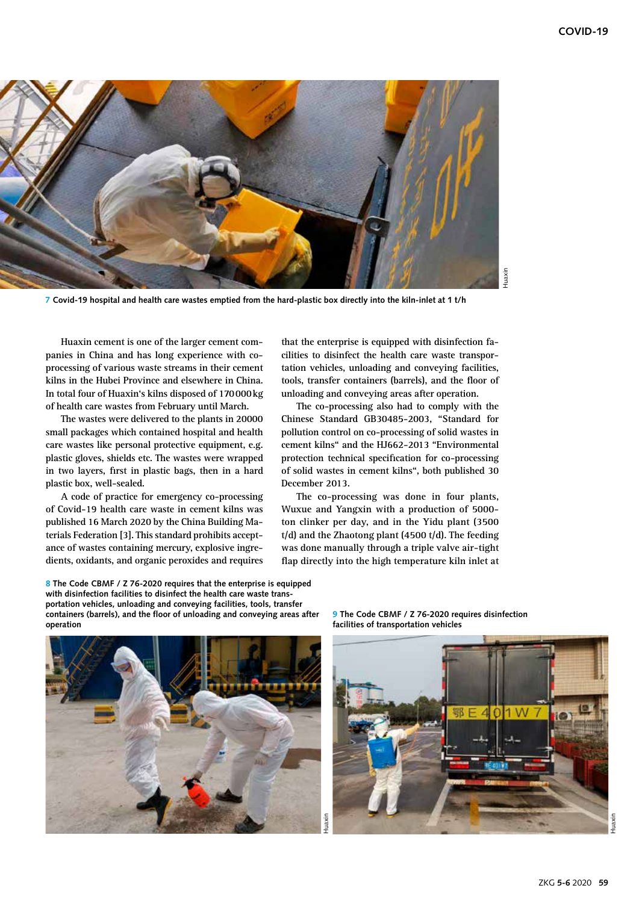

**7 Covid-19 hospital and health care wastes emptied from the hard-plastic box directly into the kiln-inlet at 1 t/h**

**Huaxin cement is one of the larger cement companies in China and has long experience with coprocessing of various waste streams in their cement kilns in the Hubei Province and elsewhere in China. In total four of Huaxin's kilns disposed of 170000kg of health care wastes from February until March.** 

**The wastes were delivered to the plants in 20000 small packages which contained hospital and health care wastes like personal protective equipment, e.g. plastic gloves, shields etc. The wastes were wrapped in two layers, first in plastic bags, then in a hard plastic box, well-sealed.**

**A code of practice for emergency co-processing of Covid-19 health care waste in cement kilns was published 16 March 2020 by the China Building Materials Federation [3]. This standard prohibits acceptance of wastes containing mercury, explosive ingredients, oxidants, and organic peroxides and requires**  **that the enterprise is equipped with disinfection facilities to disinfect the health care waste transportation vehicles, unloading and conveying facilities, tools, transfer containers (barrels), and the floor of unloading and conveying areas after operation.** 

**The co-processing also had to comply with the Chinese Standard GB30485-2003, "Standard for pollution control on co-processing of solid wastes in cement kilns" and the HJ662-2013 "Environmental protection technical specification for co-processing of solid wastes in cement kilns", both published 30 December 2013.** 

**The co-processing was done in four plants, Wuxue and Yangxin with a production of 5000 ton clinker per day, and in the Yidu plant (3500 t/d) and the Zhaotong plant (4500 t/d). The feeding was done manually through a triple valve air-tight flap directly into the high temperature kiln inlet at** 

**8 The Code CBMF / Z 76-2020 requires that the enterprise is equipped with disinfection facilities to disinfect the health care waste transportation vehicles, unloading and conveying facilities, tools, transfer containers (barrels), and the floor of unloading and conveying areas after operation**



**9 The Code CBMF / Z 76-2020 requires disinfection facilities of transportation vehicles**